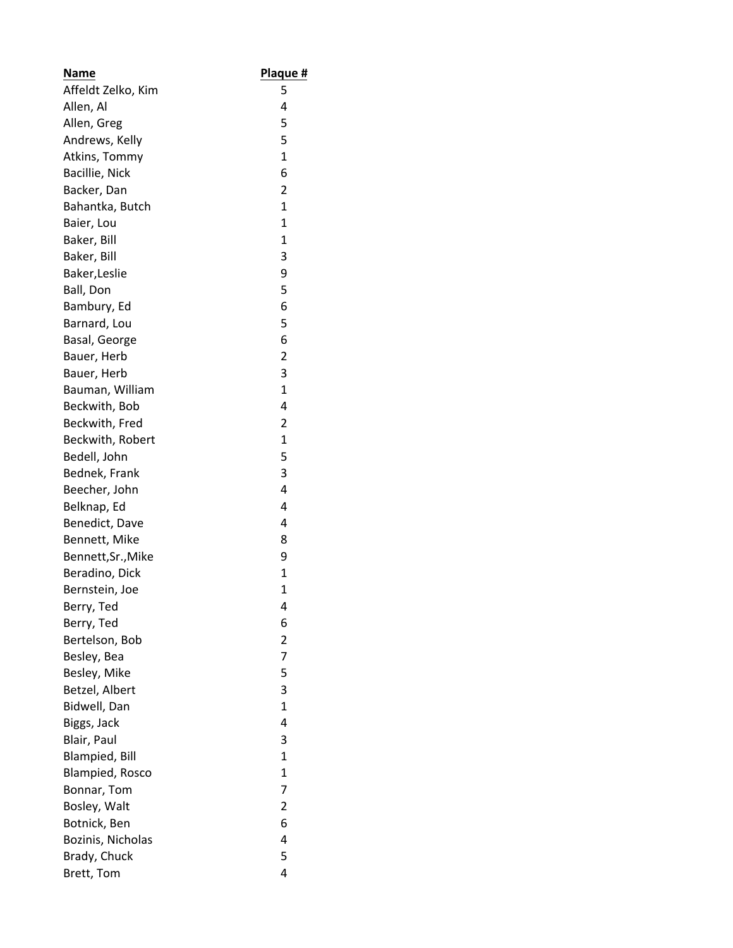| <b>Name</b>            | Plaque #     |
|------------------------|--------------|
| Affeldt Zelko, Kim     | 5            |
| Allen, Al              | 4            |
| Allen, Greg            | 5            |
| Andrews, Kelly         | 5            |
| Atkins, Tommy          | $\mathbf{1}$ |
| Bacillie, Nick         | 6            |
| Backer, Dan            | 2            |
| Bahantka, Butch        | $\mathbf{1}$ |
| Baier, Lou             | $\mathbf{1}$ |
| Baker, Bill            | 1            |
| Baker, Bill            | 3            |
| Baker, Leslie          | 9            |
| Ball, Don              | 5            |
| Bambury, Ed            | 6            |
| Barnard, Lou           | 5            |
| Basal, George          | 6            |
| Bauer, Herb            | 2            |
| Bauer, Herb            | 3            |
| Bauman, William        | $\mathbf{1}$ |
| Beckwith, Bob          | 4            |
| Beckwith, Fred         | 2            |
| Beckwith, Robert       | $\mathbf{1}$ |
| Bedell, John           | 5            |
| Bednek, Frank          | 3            |
| Beecher, John          | 4            |
| Belknap, Ed            | 4            |
| Benedict, Dave         | 4            |
| Bennett, Mike          | 8            |
| Bennett, Sr., Mike     | 9            |
| Beradino, Dick         | $\mathbf{1}$ |
| Bernstein, Joe         | 1            |
| Berry, Ted             | 4            |
| Berry, Ted             | 6            |
| Bertelson, Bob         | 2            |
| Besley, Bea            | 7            |
| Besley, Mike           | 5            |
| Betzel, Albert         | 3            |
| Bidwell, Dan           | $\mathbf{1}$ |
| Biggs, Jack            | 4            |
| Blair, Paul            | 3            |
| <b>Blampied, Bill</b>  | $\mathbf{1}$ |
| <b>Blampied, Rosco</b> | $\mathbf{1}$ |
| Bonnar, Tom            | 7            |
| Bosley, Walt           | 2            |
| Botnick, Ben           | 6            |
| Bozinis, Nicholas      | 4            |
| Brady, Chuck           | 5            |
| Brett, Tom             | 4            |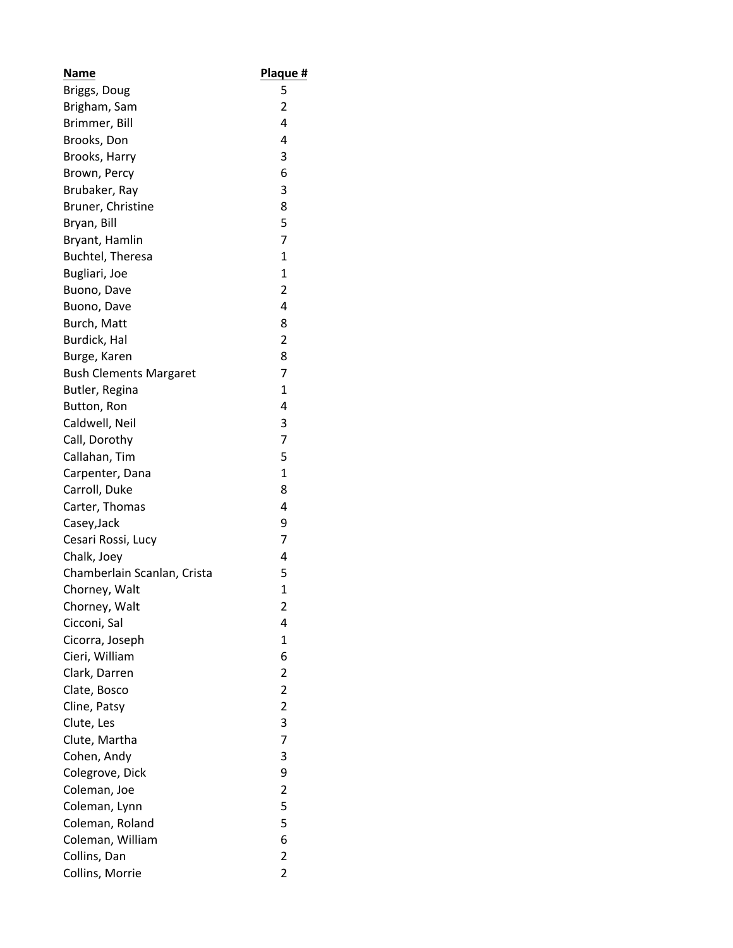| Name                          | Plaque #            |
|-------------------------------|---------------------|
| Briggs, Doug                  | 5                   |
| Brigham, Sam                  | 2                   |
| Brimmer, Bill                 | 4                   |
| Brooks, Don                   | 4                   |
| Brooks, Harry                 | 3                   |
| Brown, Percy                  | 6                   |
| Brubaker, Ray                 | 3                   |
| Bruner, Christine             | 8                   |
| Bryan, Bill                   | 5                   |
| Bryant, Hamlin                | 7                   |
| Buchtel, Theresa              | 1                   |
| Bugliari, Joe                 | 1                   |
| Buono, Dave                   | 2                   |
| Buono, Dave                   | 4                   |
| Burch, Matt                   | 8                   |
| Burdick, Hal                  | 2                   |
| Burge, Karen                  | 8                   |
| <b>Bush Clements Margaret</b> | 7                   |
| Butler, Regina                | 1                   |
| Button, Ron                   | 4                   |
| Caldwell, Neil                | 3                   |
| Call, Dorothy                 | 7                   |
| Callahan, Tim                 | 5                   |
| Carpenter, Dana               | $\mathbf{1}$        |
| Carroll, Duke                 | 8                   |
| Carter, Thomas                | 4                   |
| Casey, Jack                   | 9                   |
| Cesari Rossi, Lucy            | 7                   |
| Chalk, Joey                   | 4                   |
| Chamberlain Scanlan, Crista   | 5                   |
| Chorney, Walt                 | $\mathbf{1}$        |
|                               | 2                   |
| Chorney, Walt<br>Cicconi, Sal | 4                   |
| Cicorra, Joseph               | 1                   |
| Cieri, William                | 6                   |
| Clark, Darren                 | $\overline{2}$      |
|                               | 2                   |
| Clate, Bosco<br>Cline, Patsy  | $\overline{2}$      |
| Clute, Les                    | 3                   |
|                               | 7                   |
| Clute, Martha                 | 3                   |
| Cohen, Andy                   |                     |
| Colegrove, Dick               | 9<br>$\overline{2}$ |
| Coleman, Joe                  |                     |
| Coleman, Lynn                 | 5                   |
| Coleman, Roland               | 5                   |
| Coleman, William              | 6                   |
| Collins, Dan                  | 2                   |
| Collins, Morrie               | 2                   |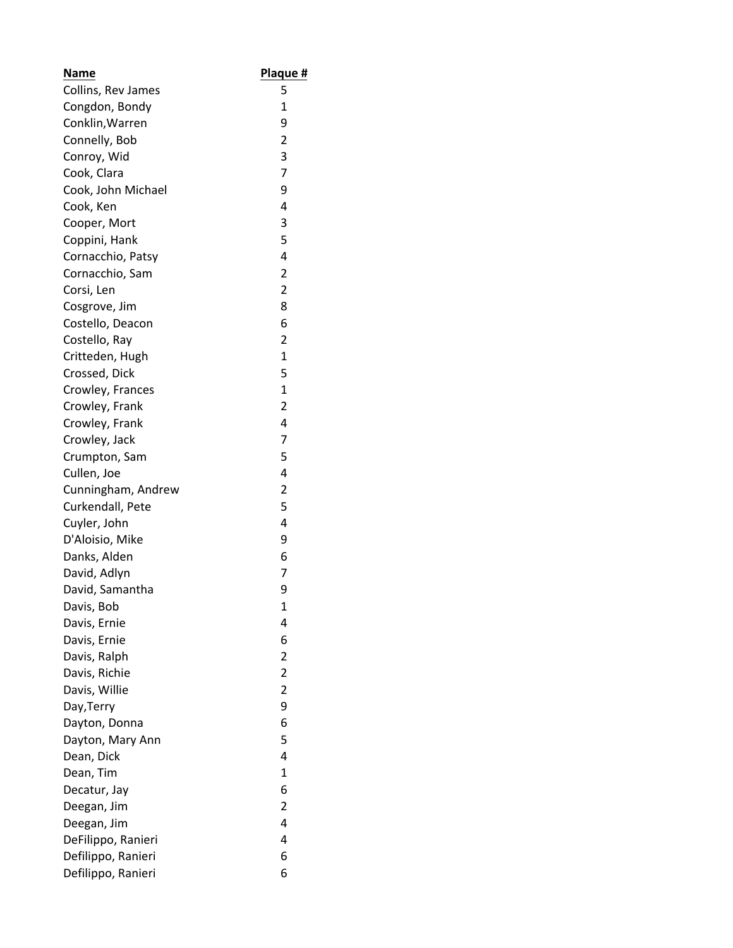| <b>Name</b>        | Plaque #                |
|--------------------|-------------------------|
| Collins, Rev James | 5                       |
| Congdon, Bondy     | 1                       |
| Conklin, Warren    | 9                       |
| Connelly, Bob      | $\overline{2}$          |
| Conroy, Wid        | 3                       |
| Cook, Clara        | $\overline{7}$          |
| Cook, John Michael | 9                       |
| Cook, Ken          | 4                       |
| Cooper, Mort       | 3                       |
| Coppini, Hank      | 5                       |
| Cornacchio, Patsy  | 4                       |
| Cornacchio, Sam    | $\overline{\mathbf{c}}$ |
| Corsi, Len         | $\overline{2}$          |
| Cosgrove, Jim      | 8                       |
| Costello, Deacon   | 6                       |
| Costello, Ray      | $\overline{2}$          |
| Critteden, Hugh    | $\mathbf{1}$            |
| Crossed, Dick      | 5                       |
| Crowley, Frances   | $\mathbf{1}$            |
| Crowley, Frank     | $\overline{2}$          |
| Crowley, Frank     | 4                       |
| Crowley, Jack      | 7                       |
| Crumpton, Sam      | 5                       |
| Cullen, Joe        | 4                       |
| Cunningham, Andrew | $\overline{2}$          |
| Curkendall, Pete   | 5                       |
| Cuyler, John       | 4                       |
| D'Aloisio, Mike    | 9                       |
| Danks, Alden       | 6                       |
| David, Adlyn       | 7                       |
| David, Samantha    | 9                       |
| Davis, Bob         | 1                       |
| Davis, Ernie       | 4                       |
| Davis, Ernie       | 6                       |
| Davis, Ralph       | $\overline{2}$          |
| Davis, Richie      | $\overline{2}$          |
| Davis, Willie      | $\overline{2}$          |
| Day, Terry         | 9                       |
| Dayton, Donna      | 6                       |
| Dayton, Mary Ann   | 5                       |
| Dean, Dick         | 4                       |
| Dean, Tim          | $\mathbf{1}$            |
| Decatur, Jay       | 6                       |
| Deegan, Jim        | $\overline{2}$          |
| Deegan, Jim        | 4                       |
| DeFilippo, Ranieri | 4                       |
| Defilippo, Ranieri | 6                       |
| Defilippo, Ranieri | 6                       |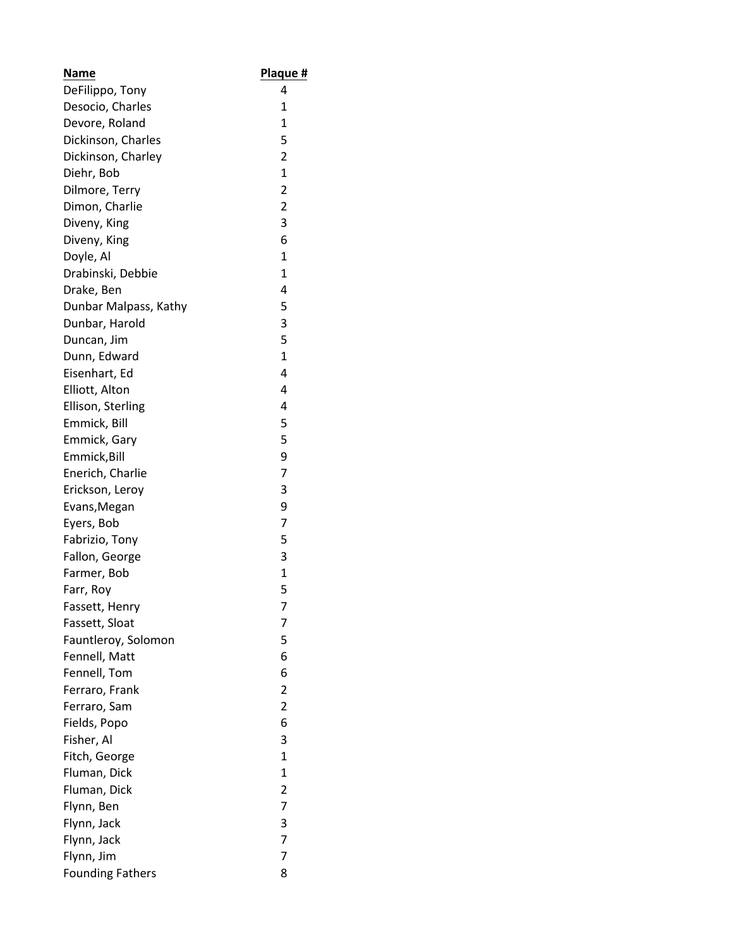| Name                    | Plaque #                |
|-------------------------|-------------------------|
| DeFilippo, Tony         | 4                       |
| Desocio, Charles        | 1                       |
| Devore, Roland          | $\mathbf{1}$            |
| Dickinson, Charles      | 5                       |
| Dickinson, Charley      | $\overline{2}$          |
| Diehr, Bob              | $\overline{1}$          |
| Dilmore, Terry          | $\overline{\mathbf{c}}$ |
| Dimon, Charlie          | $\overline{2}$          |
| Diveny, King            | 3                       |
| Diveny, King            | 6                       |
| Doyle, Al               | 1                       |
| Drabinski, Debbie       | 1                       |
| Drake, Ben              | 4                       |
| Dunbar Malpass, Kathy   | 5                       |
| Dunbar, Harold          | 3                       |
| Duncan, Jim             | 5                       |
| Dunn, Edward            | $\overline{1}$          |
| Eisenhart, Ed           | 4                       |
| Elliott, Alton          | 4                       |
| Ellison, Sterling       | 4                       |
| Emmick, Bill            | 5                       |
| Emmick, Gary            | 5                       |
| Emmick, Bill            | 9                       |
| Enerich, Charlie        | $\overline{7}$          |
| Erickson, Leroy         | 3                       |
| Evans, Megan            | 9                       |
| Eyers, Bob              | $\overline{7}$          |
| Fabrizio, Tony          | 5                       |
| Fallon, George          | 3                       |
| Farmer, Bob             | $\mathbf{1}$            |
| Farr, Roy               | 5                       |
| Fassett, Henry          | 7                       |
| Fassett, Sloat          | 7                       |
| Fauntleroy, Solomon     | 5                       |
| Fennell, Matt           | 6                       |
| Fennell, Tom            | 6                       |
| Ferraro, Frank          | 2                       |
| Ferraro, Sam            | $\overline{2}$          |
| Fields, Popo            | 6                       |
| Fisher, Al              | 3                       |
| Fitch, George           | $\mathbf{1}$            |
| Fluman, Dick            | $\mathbf{1}$            |
| Fluman, Dick            | 2                       |
| Flynn, Ben              | $\overline{7}$          |
| Flynn, Jack             | 3                       |
| Flynn, Jack             | $\overline{7}$          |
| Flynn, Jim              | 7                       |
| <b>Founding Fathers</b> | 8                       |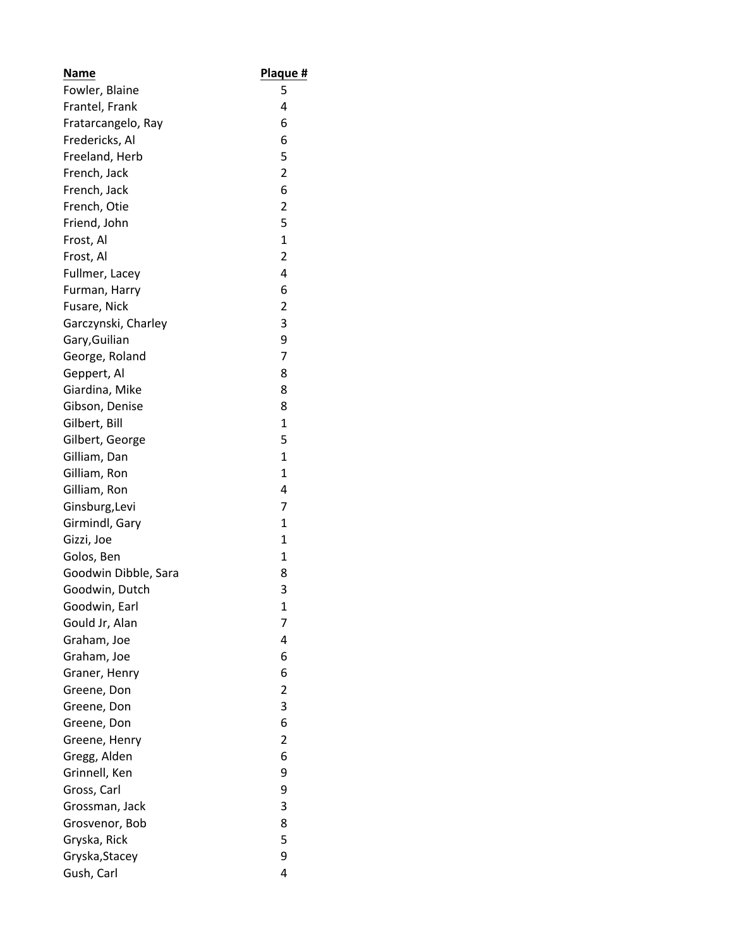| Name                 | Plaque #       |
|----------------------|----------------|
| Fowler, Blaine       | 5              |
| Frantel, Frank       | 4              |
| Fratarcangelo, Ray   | 6              |
| Fredericks, Al       | 6              |
| Freeland, Herb       | 5              |
| French, Jack         | $\overline{2}$ |
| French, Jack         | 6              |
| French, Otie         | $\overline{2}$ |
| Friend, John         | 5              |
| Frost, Al            | $\mathbf{1}$   |
| Frost, Al            | $\overline{2}$ |
| Fullmer, Lacey       | 4              |
| Furman, Harry        | 6              |
| Fusare, Nick         | $\overline{2}$ |
| Garczynski, Charley  | 3              |
| Gary, Guilian        | 9              |
| George, Roland       | $\overline{7}$ |
| Geppert, Al          | 8              |
| Giardina, Mike       | 8              |
| Gibson, Denise       | 8              |
| Gilbert, Bill        | $\mathbf{1}$   |
| Gilbert, George      | 5              |
| Gilliam, Dan         | $\mathbf{1}$   |
| Gilliam, Ron         | $\mathbf{1}$   |
| Gilliam, Ron         | 4              |
| Ginsburg, Levi       | 7              |
| Girmindl, Gary       | $\mathbf{1}$   |
| Gizzi, Joe           | $\mathbf{1}$   |
| Golos, Ben           | 1              |
| Goodwin Dibble, Sara | 8              |
| Goodwin, Dutch       | 3              |
| Goodwin, Earl        | 1              |
| Gould Jr, Alan       | 7              |
| Graham, Joe          | 4              |
| Graham, Joe          | 6              |
| Graner, Henry        | 6              |
| Greene, Don          | 2              |
| Greene, Don          | 3              |
| Greene, Don          | 6              |
| Greene, Henry        | $\overline{2}$ |
| Gregg, Alden         | 6              |
| Grinnell, Ken        | 9              |
| Gross, Carl          | 9              |
| Grossman, Jack       | 3              |
| Grosvenor, Bob       | 8              |
| Gryska, Rick         | 5              |
| Gryska, Stacey       | 9              |
| Gush, Carl           | 4              |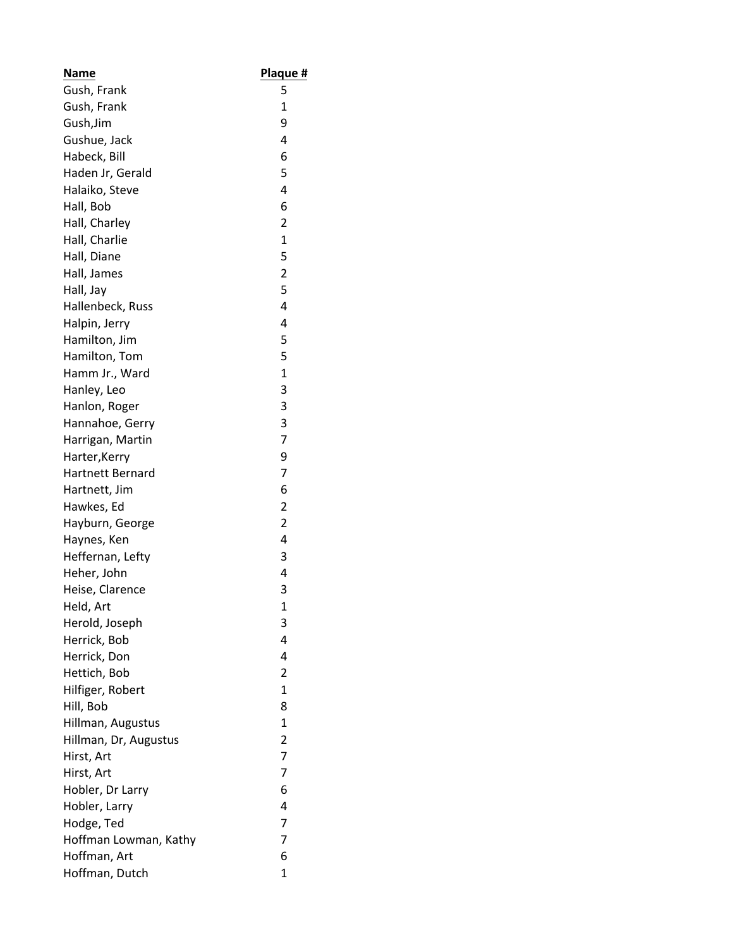| <b>Name</b>             | Plaque #       |
|-------------------------|----------------|
| Gush, Frank             | 5              |
| Gush, Frank             | 1              |
| Gush, Jim               | 9              |
| Gushue, Jack            | 4              |
| Habeck, Bill            | 6              |
| Haden Jr, Gerald        | 5              |
| Halaiko, Steve          | 4              |
| Hall, Bob               | 6              |
| Hall, Charley           | $\overline{2}$ |
| Hall, Charlie           | $\mathbf 1$    |
| Hall, Diane             | 5              |
| Hall, James             | $\overline{2}$ |
| Hall, Jay               | 5              |
| Hallenbeck, Russ        | 4              |
| Halpin, Jerry           | 4              |
| Hamilton, Jim           | 5              |
| Hamilton, Tom           | 5              |
| Hamm Jr., Ward          | $\mathbf{1}$   |
| Hanley, Leo             | 3              |
| Hanlon, Roger           | 3              |
| Hannahoe, Gerry         | 3              |
| Harrigan, Martin        | $\overline{7}$ |
| Harter, Kerry           | 9              |
| <b>Hartnett Bernard</b> | 7              |
| Hartnett, Jim           | 6              |
| Hawkes, Ed              | $\overline{2}$ |
| Hayburn, George         | $\overline{2}$ |
| Haynes, Ken             | 4              |
| Heffernan, Lefty        | 3              |
| Heher, John             | 4              |
| Heise, Clarence         | 3              |
| Held, Art               | 1              |
| Herold, Joseph          | 3              |
| Herrick, Bob            | 4              |
| Herrick, Don            | 4              |
| Hettich, Bob            | $\overline{2}$ |
| Hilfiger, Robert        | $\mathbf{1}$   |
| Hill, Bob               | 8              |
| Hillman, Augustus       | $\mathbf{1}$   |
| Hillman, Dr, Augustus   | 2              |
| Hirst, Art              | $\overline{7}$ |
| Hirst, Art              | 7              |
| Hobler, Dr Larry        | 6              |
| Hobler, Larry           | 4              |
| Hodge, Ted              | $\overline{7}$ |
| Hoffman Lowman, Kathy   | 7              |
| Hoffman, Art            | 6              |
| Hoffman, Dutch          | $\mathbf{1}$   |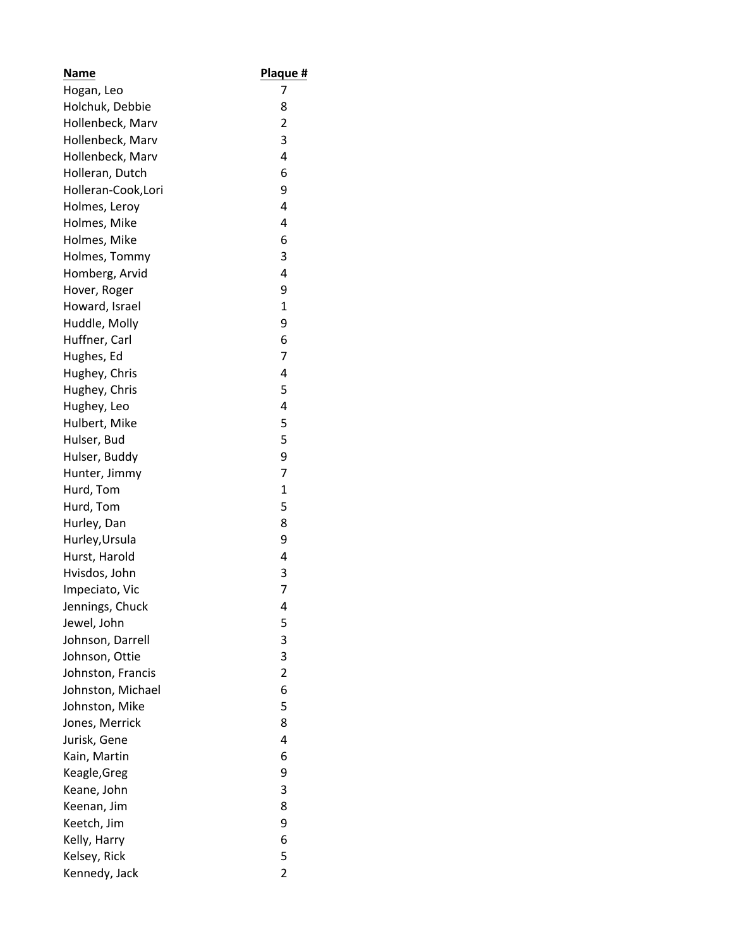| Name                | Plaque #                |
|---------------------|-------------------------|
| Hogan, Leo          | 7                       |
| Holchuk, Debbie     | 8                       |
| Hollenbeck, Marv    | $\overline{\mathbf{c}}$ |
| Hollenbeck, Marv    | 3                       |
| Hollenbeck, Marv    | 4                       |
| Holleran, Dutch     | 6                       |
| Holleran-Cook, Lori | 9                       |
| Holmes, Leroy       | 4                       |
| Holmes, Mike        | 4                       |
| Holmes, Mike        | 6                       |
| Holmes, Tommy       | 3                       |
| Homberg, Arvid      | 4                       |
| Hover, Roger        | 9                       |
| Howard, Israel      | $\mathbf{1}$            |
| Huddle, Molly       | 9                       |
| Huffner, Carl       | 6                       |
| Hughes, Ed          | 7                       |
| Hughey, Chris       | 4                       |
| Hughey, Chris       | 5                       |
| Hughey, Leo         | 4                       |
| Hulbert, Mike       | 5                       |
| Hulser, Bud         | 5                       |
| Hulser, Buddy       | 9                       |
| Hunter, Jimmy       | 7                       |
| Hurd, Tom           | $\mathbf{1}$            |
| Hurd, Tom           | 5                       |
| Hurley, Dan         | 8                       |
| Hurley, Ursula      | 9                       |
| Hurst, Harold       | 4                       |
| Hvisdos, John       | 3                       |
| Impeciato, Vic      | 7                       |
| Jennings, Chuck     | 4                       |
| Jewel, John         | 5                       |
| Johnson, Darrell    | 3                       |
| Johnson, Ottie      | 3                       |
| Johnston, Francis   | $\overline{2}$          |
| Johnston, Michael   | 6                       |
| Johnston, Mike      | 5                       |
| Jones, Merrick      | 8                       |
| Jurisk, Gene        | 4                       |
| Kain, Martin        | 6                       |
| Keagle, Greg        | 9                       |
| Keane, John         | 3                       |
| Keenan, Jim         | 8                       |
| Keetch, Jim         | 9                       |
| Kelly, Harry        | 6                       |
| Kelsey, Rick        | 5                       |
| Kennedy, Jack       | $\overline{2}$          |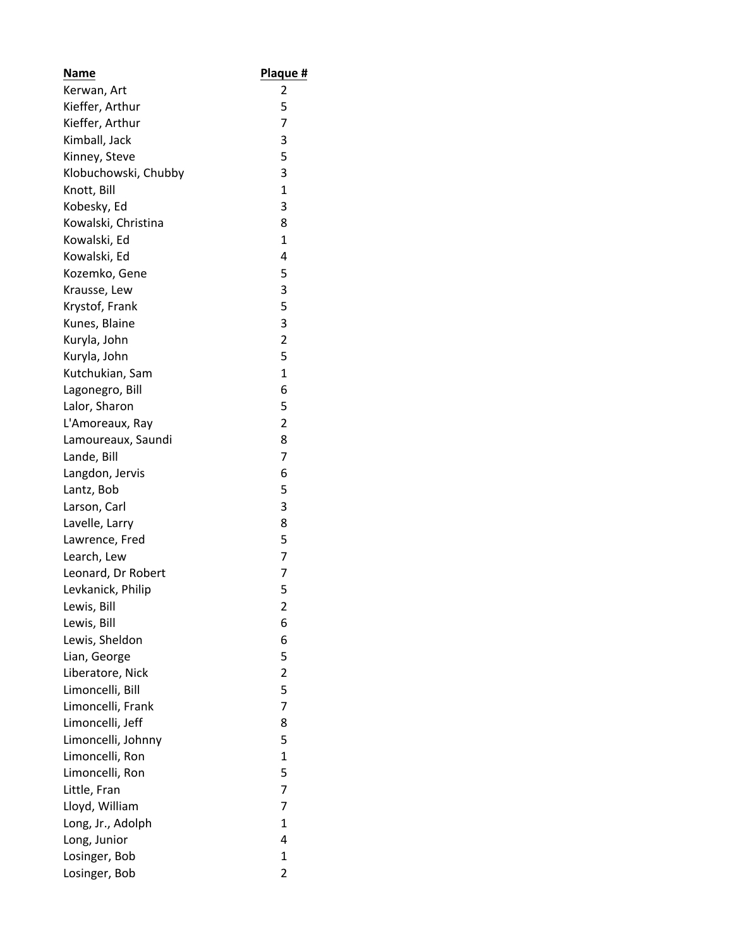| <b>Name</b>          | Plaque #       |
|----------------------|----------------|
| Kerwan, Art          | 2              |
| Kieffer, Arthur      | 5              |
| Kieffer, Arthur      | 7              |
| Kimball, Jack        | 3              |
| Kinney, Steve        | 5              |
| Klobuchowski, Chubby | 3              |
| Knott, Bill          | 1              |
| Kobesky, Ed          | 3              |
| Kowalski, Christina  | 8              |
| Kowalski, Ed         | 1              |
| Kowalski, Ed         | 4              |
| Kozemko, Gene        | 5              |
| Krausse, Lew         | 3              |
| Krystof, Frank       | 5              |
| Kunes, Blaine        | 3              |
| Kuryla, John         | $\overline{2}$ |
| Kuryla, John         | 5              |
| Kutchukian, Sam      | $\mathbf{1}$   |
| Lagonegro, Bill      | 6              |
| Lalor, Sharon        | 5              |
| L'Amoreaux, Ray      | 2              |
| Lamoureaux, Saundi   | 8              |
| Lande, Bill          | 7              |
| Langdon, Jervis      | 6              |
| Lantz, Bob           | 5              |
| Larson, Carl         | 3              |
| Lavelle, Larry       | 8              |
| Lawrence, Fred       | 5              |
| Learch, Lew          | 7              |
| Leonard, Dr Robert   | 7              |
| Levkanick, Philip    | 5              |
| Lewis, Bill          | 2              |
| Lewis, Bill          | 6              |
| Lewis, Sheldon       | 6              |
| Lian, George         | 5              |
| Liberatore, Nick     | $\overline{2}$ |
| Limoncelli, Bill     | 5              |
| Limoncelli, Frank    | $\overline{7}$ |
| Limoncelli, Jeff     | 8              |
| Limoncelli, Johnny   | 5              |
| Limoncelli, Ron      | $\mathbf{1}$   |
| Limoncelli, Ron      | 5              |
| Little, Fran         | $\overline{7}$ |
|                      | 7              |
| Lloyd, William       | $\mathbf{1}$   |
| Long, Jr., Adolph    |                |
| Long, Junior         | 4              |
| Losinger, Bob        | 1              |
| Losinger, Bob        | $\overline{2}$ |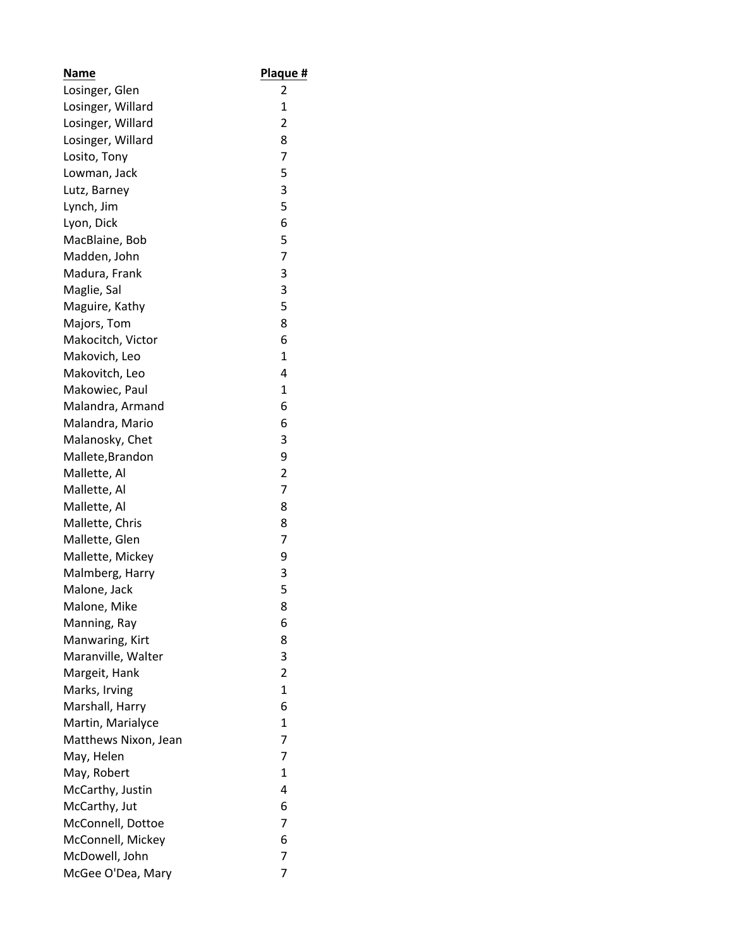| <b>Name</b>          | <u>Plaque #</u> |
|----------------------|-----------------|
| Losinger, Glen       | 2               |
| Losinger, Willard    | 1               |
| Losinger, Willard    | $\overline{2}$  |
| Losinger, Willard    | 8               |
| Losito, Tony         | 7               |
| Lowman, Jack         | 5               |
| Lutz, Barney         | 3               |
| Lynch, Jim           | 5               |
| Lyon, Dick           | 6               |
| MacBlaine, Bob       | 5               |
| Madden, John         | $\overline{7}$  |
| Madura, Frank        | 3               |
| Maglie, Sal          | 3               |
| Maguire, Kathy       | 5               |
| Majors, Tom          | 8               |
| Makocitch, Victor    | 6               |
| Makovich, Leo        | 1               |
| Makovitch, Leo       | 4               |
| Makowiec, Paul       | 1               |
| Malandra, Armand     | 6               |
| Malandra, Mario      | 6               |
| Malanosky, Chet      | 3               |
| Mallete, Brandon     | 9               |
| Mallette, Al         | 2               |
| Mallette, Al         | $\overline{7}$  |
| Mallette, Al         | 8               |
| Mallette, Chris      | 8               |
| Mallette, Glen       | 7               |
| Mallette, Mickey     | 9               |
| Malmberg, Harry      | 3               |
| Malone, Jack         | 5               |
| Malone, Mike         | 8               |
| Manning, Ray         | 6               |
| Manwaring, Kirt      | 8               |
| Maranville, Walter   | 3               |
| Margeit, Hank        | $\overline{2}$  |
| Marks, Irving        | $\mathbf{1}$    |
| Marshall, Harry      | 6               |
| Martin, Marialyce    | 1               |
| Matthews Nixon, Jean | 7               |
| May, Helen           | $\overline{7}$  |
| May, Robert          | $\mathbf{1}$    |
| McCarthy, Justin     | 4               |
| McCarthy, Jut        | 6               |
| McConnell, Dottoe    | 7               |
| McConnell, Mickey    | 6               |
| McDowell, John       | 7               |
| McGee O'Dea, Mary    | 7               |
|                      |                 |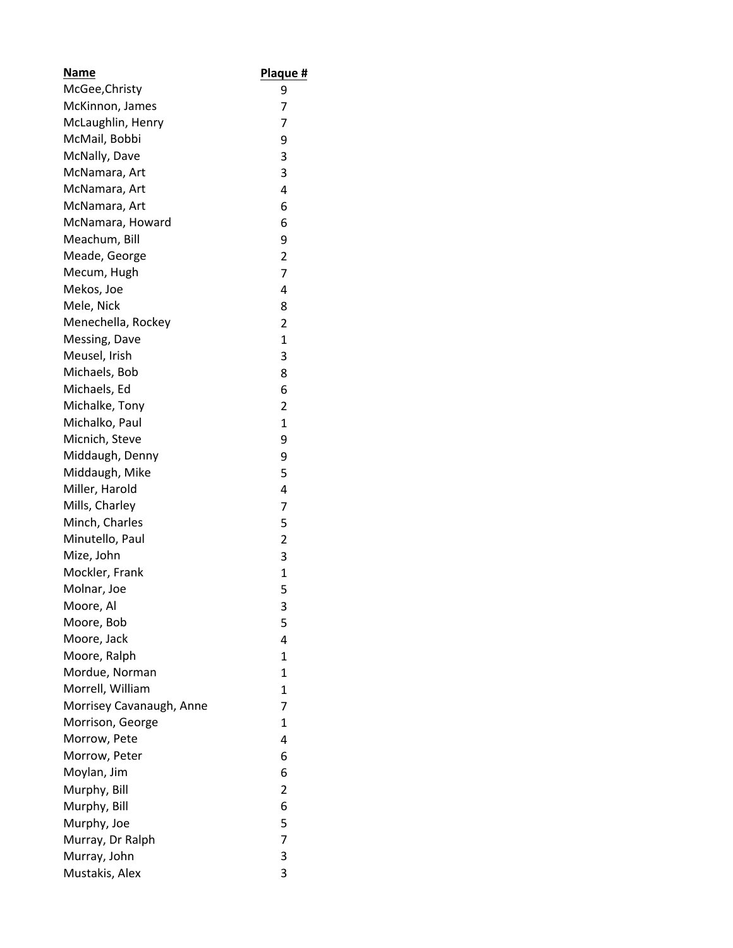| Name                     | Plaque #       |
|--------------------------|----------------|
| McGee, Christy           | 9              |
| McKinnon, James          | 7              |
| McLaughlin, Henry        | 7              |
| McMail, Bobbi            | 9              |
| McNally, Dave            | 3              |
| McNamara, Art            | 3              |
| McNamara, Art            | 4              |
| McNamara, Art            | 6              |
| McNamara, Howard         | 6              |
| Meachum, Bill            | 9              |
| Meade, George            | 2              |
| Mecum, Hugh              | 7              |
| Mekos, Joe               | 4              |
| Mele, Nick               | 8              |
| Menechella, Rockey       | 2              |
| Messing, Dave            | $\mathbf{1}$   |
| Meusel, Irish            | 3              |
| Michaels, Bob            | 8              |
| Michaels, Ed             | 6              |
| Michalke, Tony           | $\overline{2}$ |
| Michalko, Paul           | $\mathbf{1}$   |
| Micnich, Steve           | 9              |
| Middaugh, Denny          | 9              |
| Middaugh, Mike           | 5              |
| Miller, Harold           | 4              |
| Mills, Charley           | 7              |
| Minch, Charles           | 5              |
| Minutello, Paul          | $\overline{2}$ |
| Mize, John               | 3              |
| Mockler, Frank           | $\mathbf{1}$   |
| Molnar, Joe              | 5              |
| Moore, Al                | 3              |
| Moore, Bob               | 5              |
| Moore, Jack              | 4              |
| Moore, Ralph             | $\mathbf{1}$   |
| Mordue, Norman           | 1              |
| Morrell, William         | $\overline{1}$ |
| Morrisey Cavanaugh, Anne | $\overline{7}$ |
| Morrison, George         | 1              |
| Morrow, Pete             | 4              |
| Morrow, Peter            | 6              |
| Moylan, Jim              | 6              |
| Murphy, Bill             | $\overline{2}$ |
| Murphy, Bill             | 6              |
| Murphy, Joe              | 5              |
| Murray, Dr Ralph         | 7              |
| Murray, John             | 3              |
| Mustakis, Alex           | 3              |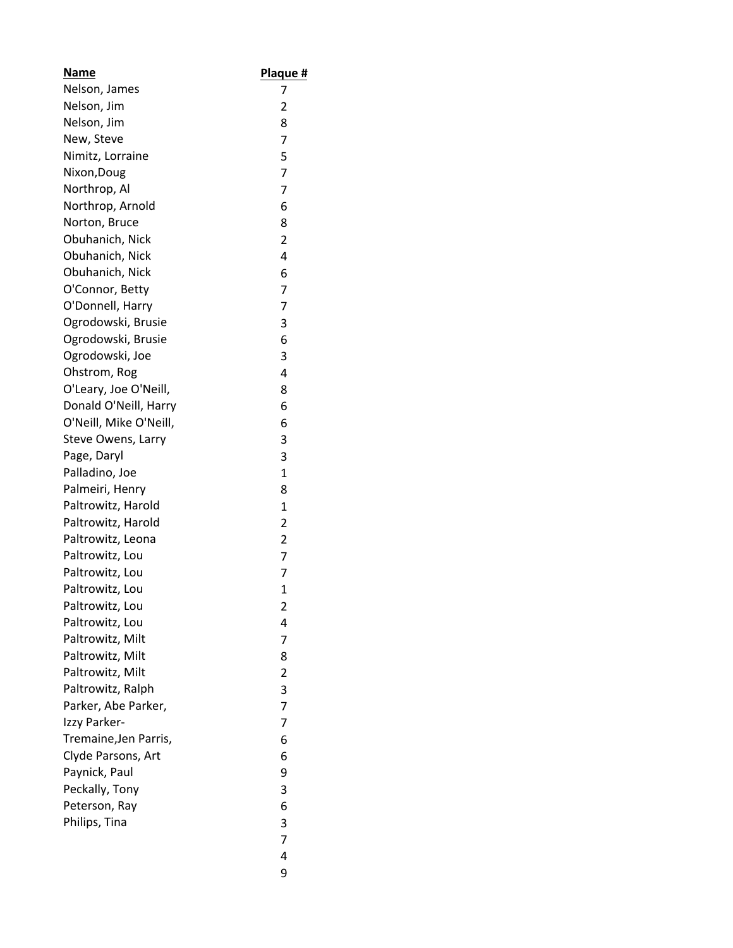| Name                   | Plaque #       |
|------------------------|----------------|
| Nelson, James          | 7              |
| Nelson, Jim            | 2              |
| Nelson, Jim            | 8              |
| New, Steve             | 7              |
| Nimitz, Lorraine       | 5              |
| Nixon, Doug            | 7              |
| Northrop, Al           | $\overline{7}$ |
| Northrop, Arnold       | 6              |
| Norton, Bruce          | 8              |
| Obuhanich, Nick        | $\overline{2}$ |
| Obuhanich, Nick        | 4              |
| Obuhanich, Nick        | 6              |
| O'Connor, Betty        | 7              |
| O'Donnell, Harry       | 7              |
| Ogrodowski, Brusie     | 3              |
| Ogrodowski, Brusie     | 6              |
| Ogrodowski, Joe        | 3              |
| Ohstrom, Rog           | 4              |
| O'Leary, Joe O'Neill,  | 8              |
| Donald O'Neill, Harry  | 6              |
| O'Neill, Mike O'Neill, | 6              |
| Steve Owens, Larry     | 3              |
| Page, Daryl            | 3              |
| Palladino, Joe         | $\mathbf{1}$   |
| Palmeiri, Henry        | 8              |
| Paltrowitz, Harold     | 1              |
| Paltrowitz, Harold     | 2              |
| Paltrowitz, Leona      | 2              |
| Paltrowitz, Lou        | $\overline{7}$ |
| Paltrowitz, Lou        | 7              |
| Paltrowitz, Lou        | 1              |
| Paltrowitz, Lou        | 2              |
| Paltrowitz, Lou        | 4              |
| Paltrowitz, Milt       | 7              |
| Paltrowitz, Milt       | 8              |
| Paltrowitz, Milt       | $\overline{2}$ |
| Paltrowitz, Ralph      | 3              |
| Parker, Abe Parker,    | $\overline{7}$ |
| Izzy Parker-           | 7              |
| Tremaine, Jen Parris,  | 6              |
| Clyde Parsons, Art     | 6              |
| Paynick, Paul          | 9              |
| Peckally, Tony         | 3              |
| Peterson, Ray          | 6              |
| Philips, Tina          | 3              |
|                        | 7              |
|                        | 4              |
|                        | 9              |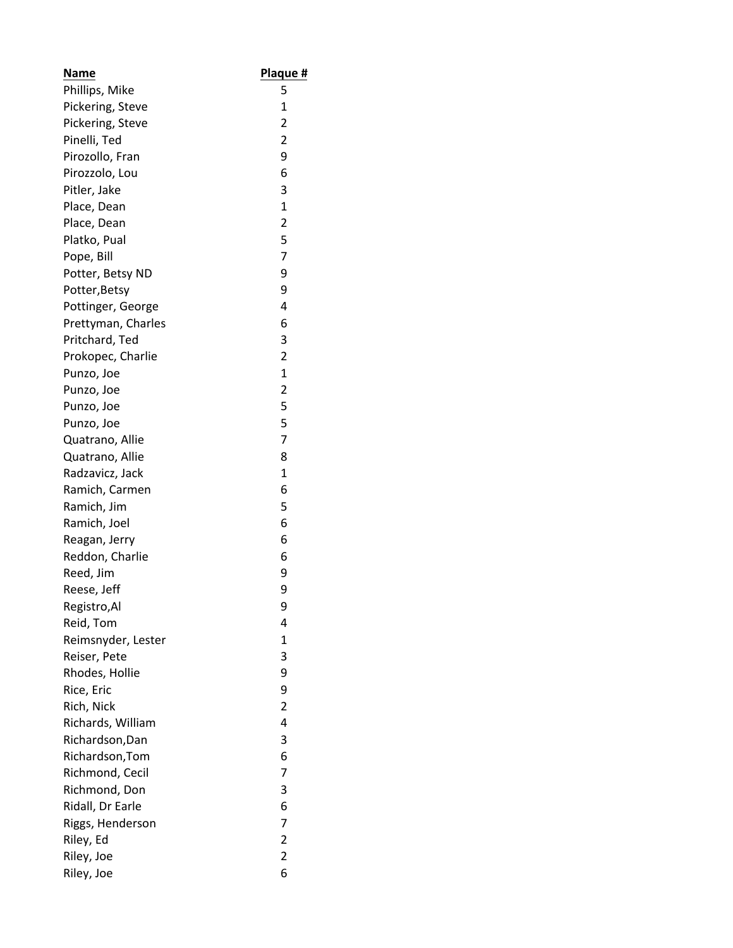| <b>Name</b>        | Plaque #       |
|--------------------|----------------|
| Phillips, Mike     | 5              |
| Pickering, Steve   | $\mathbf 1$    |
| Pickering, Steve   | $\overline{2}$ |
| Pinelli, Ted       | $\overline{2}$ |
| Pirozollo, Fran    | 9              |
| Pirozzolo, Lou     | 6              |
| Pitler, Jake       | 3              |
| Place, Dean        | $\mathbf{1}$   |
| Place, Dean        | $\overline{c}$ |
| Platko, Pual       | 5              |
| Pope, Bill         | 7              |
| Potter, Betsy ND   | 9              |
| Potter, Betsy      | 9              |
| Pottinger, George  | 4              |
| Prettyman, Charles | 6              |
| Pritchard, Ted     | 3              |
| Prokopec, Charlie  | $\overline{2}$ |
| Punzo, Joe         | 1              |
| Punzo, Joe         | $\overline{c}$ |
| Punzo, Joe         | 5              |
| Punzo, Joe         | 5              |
| Quatrano, Allie    | 7              |
| Quatrano, Allie    | 8              |
| Radzavicz, Jack    | 1              |
| Ramich, Carmen     | 6              |
| Ramich, Jim        | 5              |
| Ramich, Joel       | 6              |
| Reagan, Jerry      | 6              |
| Reddon, Charlie    | 6              |
| Reed, Jim          | 9              |
| Reese, Jeff        | 9              |
| Registro, Al       | 9              |
| Reid, Tom          | 4              |
| Reimsnyder, Lester | $\mathbf{1}$   |
| Reiser, Pete       | 3              |
| Rhodes, Hollie     | 9              |
| Rice, Eric         | 9              |
| Rich, Nick         | $\overline{2}$ |
| Richards, William  | 4              |
| Richardson, Dan    | 3              |
| Richardson, Tom    | 6              |
| Richmond, Cecil    | 7              |
| Richmond, Don      | 3              |
| Ridall, Dr Earle   | 6              |
| Riggs, Henderson   | $\overline{7}$ |
| Riley, Ed          | $\overline{c}$ |
| Riley, Joe         | $\overline{c}$ |
| Riley, Joe         | 6              |
|                    |                |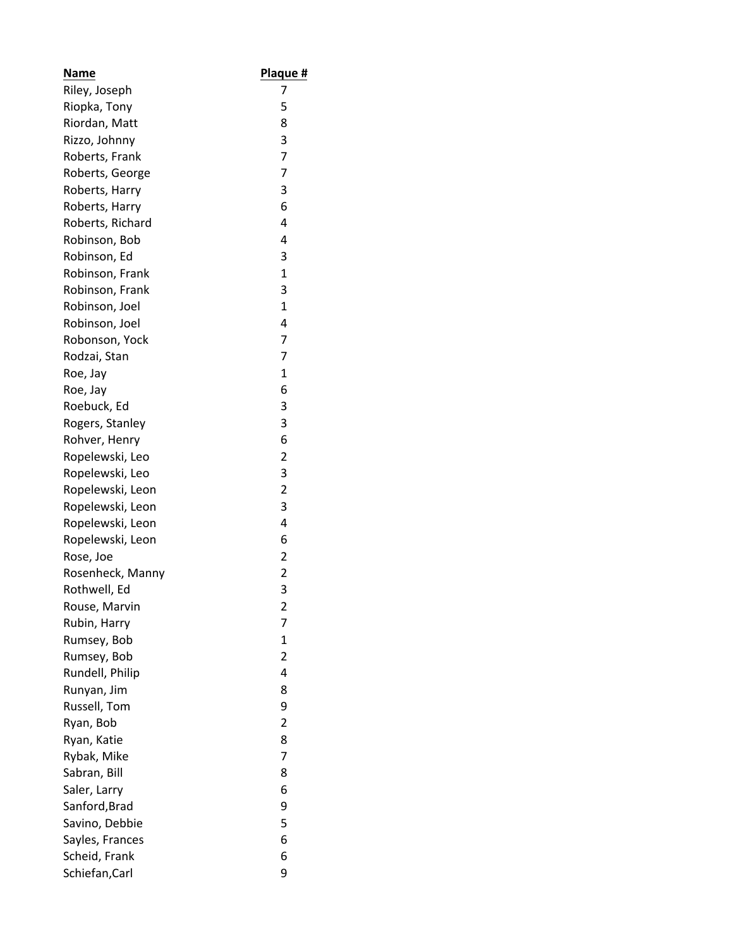| Name             | Plaque #                |
|------------------|-------------------------|
| Riley, Joseph    | 7                       |
| Riopka, Tony     | 5                       |
| Riordan, Matt    | 8                       |
| Rizzo, Johnny    | 3                       |
| Roberts, Frank   | $\overline{7}$          |
| Roberts, George  | $\overline{7}$          |
| Roberts, Harry   | 3                       |
| Roberts, Harry   | 6                       |
| Roberts, Richard | 4                       |
| Robinson, Bob    | 4                       |
| Robinson, Ed     | 3                       |
| Robinson, Frank  | 1                       |
| Robinson, Frank  | 3                       |
| Robinson, Joel   | $\overline{1}$          |
| Robinson, Joel   | 4                       |
| Robonson, Yock   | $\overline{7}$          |
| Rodzai, Stan     | 7                       |
| Roe, Jay         | 1                       |
| Roe, Jay         | 6                       |
| Roebuck, Ed      | 3                       |
| Rogers, Stanley  | 3                       |
| Rohver, Henry    | 6                       |
| Ropelewski, Leo  | $\overline{2}$          |
| Ropelewski, Leo  | 3                       |
| Ropelewski, Leon | $\overline{2}$          |
| Ropelewski, Leon | 3                       |
| Ropelewski, Leon | 4                       |
| Ropelewski, Leon | 6                       |
| Rose, Joe        | $\overline{2}$          |
| Rosenheck, Manny | $\overline{2}$          |
| Rothwell, Ed     | 3                       |
| Rouse, Marvin    | $\overline{\mathbf{c}}$ |
| Rubin, Harry     | 7                       |
| Rumsey, Bob      | $\mathbf{1}$            |
| Rumsey, Bob      | $\overline{2}$          |
| Rundell, Philip  | 4                       |
| Runyan, Jim      | 8                       |
| Russell, Tom     | 9                       |
| Ryan, Bob        | $\overline{2}$          |
| Ryan, Katie      | 8                       |
| Rybak, Mike      | 7                       |
| Sabran, Bill     | 8                       |
| Saler, Larry     | 6                       |
| Sanford, Brad    | 9                       |
| Savino, Debbie   | 5                       |
| Sayles, Frances  | 6                       |
| Scheid, Frank    | 6                       |
| Schiefan, Carl   | 9                       |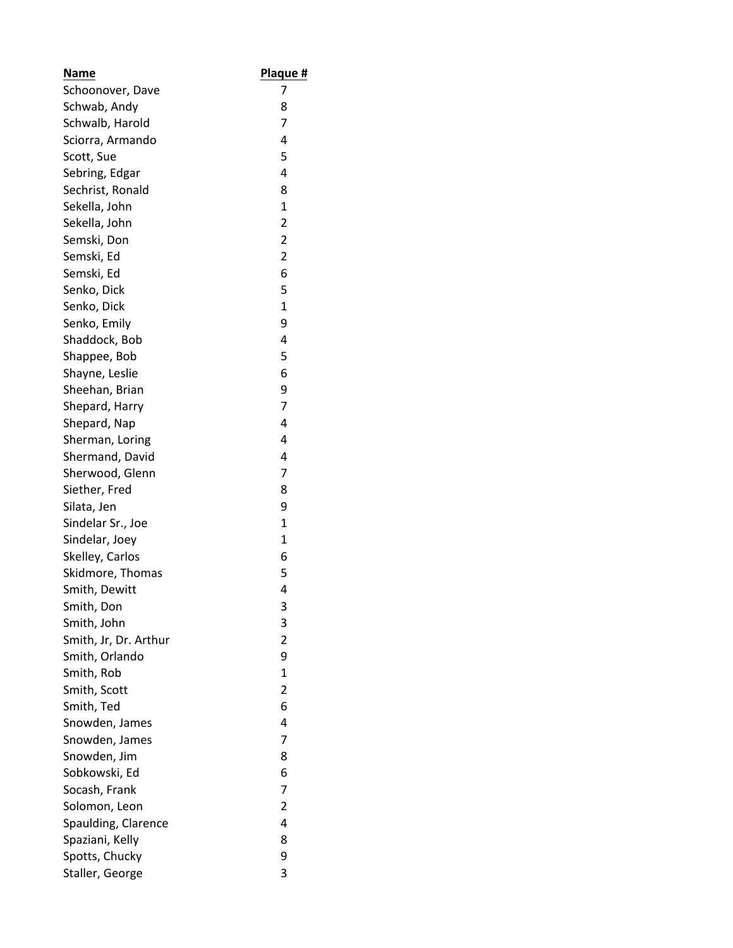| Name                  | <u>Plaque #</u> |
|-----------------------|-----------------|
| Schoonover, Dave      | 7               |
| Schwab, Andy          | 8               |
| Schwalb, Harold       | 7               |
| Sciorra, Armando      | 4               |
| Scott, Sue            | 5               |
| Sebring, Edgar        | 4               |
| Sechrist, Ronald      | 8               |
| Sekella, John         | $\mathbf{1}$    |
| Sekella, John         | $\overline{2}$  |
| Semski, Don           | $\overline{c}$  |
| Semski, Ed            | 2               |
| Semski, Ed            | 6               |
| Senko, Dick           | 5               |
| Senko, Dick           | $\mathbf{1}$    |
| Senko, Emily          | 9               |
| Shaddock, Bob         | 4               |
| Shappee, Bob          | 5               |
| Shayne, Leslie        | 6               |
| Sheehan, Brian        | 9               |
| Shepard, Harry        | $\overline{7}$  |
| Shepard, Nap          | 4               |
| Sherman, Loring       | 4               |
| Shermand, David       | 4               |
| Sherwood, Glenn       | 7               |
| Siether, Fred         | 8               |
| Silata, Jen           | 9               |
| Sindelar Sr., Joe     | 1               |
| Sindelar, Joey        | $\mathbf{1}$    |
| Skelley, Carlos       | 6               |
| Skidmore, Thomas      | 5               |
| Smith, Dewitt         | 4               |
| Smith, Don            | 3               |
| Smith, John           | 3               |
| Smith, Jr, Dr. Arthur | $\overline{2}$  |
| Smith, Orlando        | 9               |
| Smith, Rob            | $\mathbf{1}$    |
| Smith, Scott          | $\overline{2}$  |
| Smith, Ted            | 6               |
| Snowden, James        | 4               |
| Snowden, James        | 7               |
| Snowden, Jim          | 8               |
| Sobkowski, Ed         | 6               |
| Socash, Frank         | 7               |
| Solomon, Leon         | $\overline{2}$  |
| Spaulding, Clarence   | 4               |
| Spaziani, Kelly       | 8               |
| Spotts, Chucky        | 9               |
| Staller, George       | 3               |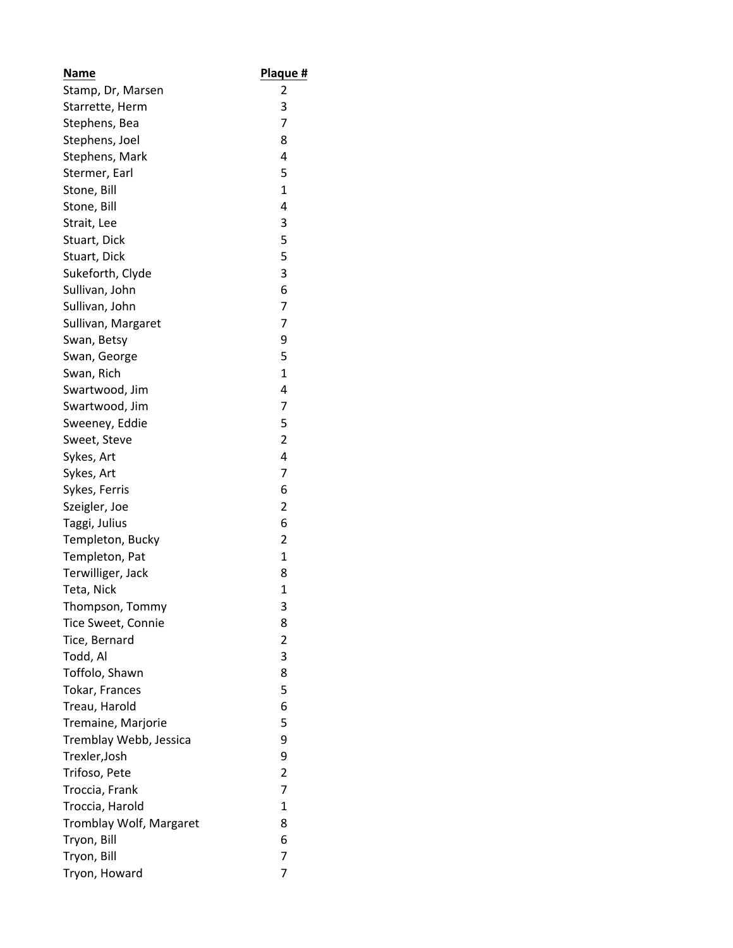| Name                    | Plaque #       |
|-------------------------|----------------|
| Stamp, Dr, Marsen       | 2              |
| Starrette, Herm         | 3              |
| Stephens, Bea           | 7              |
| Stephens, Joel          | 8              |
| Stephens, Mark          | 4              |
| Stermer, Earl           | 5              |
| Stone, Bill             | 1              |
| Stone, Bill             | 4              |
| Strait, Lee             | 3              |
| Stuart, Dick            | 5              |
| Stuart, Dick            | 5              |
| Sukeforth, Clyde        | 3              |
| Sullivan, John          | 6              |
| Sullivan, John          | 7              |
| Sullivan, Margaret      | 7              |
| Swan, Betsy             | 9              |
| Swan, George            | 5              |
| Swan, Rich              | $\mathbf{1}$   |
| Swartwood, Jim          | 4              |
| Swartwood, Jim          | 7              |
| Sweeney, Eddie          | 5              |
| Sweet, Steve            | $\overline{2}$ |
| Sykes, Art              | 4              |
| Sykes, Art              | 7              |
| Sykes, Ferris           | 6              |
| Szeigler, Joe           | $\overline{2}$ |
| Taggi, Julius           | 6              |
| Templeton, Bucky        | $\overline{2}$ |
| Templeton, Pat          | 1              |
| Terwilliger, Jack       | 8              |
| Teta, Nick              | $\mathbf{1}$   |
| Thompson, Tommy         | 3              |
| Tice Sweet, Connie      | 8              |
| Tice, Bernard           | 2              |
| Todd, Al                | 3              |
| Toffolo, Shawn          | 8              |
| Tokar, Frances          | 5              |
| Treau, Harold           | 6              |
| Tremaine, Marjorie      | 5              |
| Tremblay Webb, Jessica  | 9              |
| Trexler, Josh           | 9              |
| Trifoso, Pete           | $\overline{2}$ |
| Troccia, Frank          | 7              |
| Troccia, Harold         | 1              |
| Tromblay Wolf, Margaret | 8              |
|                         | 6              |
| Tryon, Bill             | 7              |
| Tryon, Bill             |                |
| Tryon, Howard           | 7              |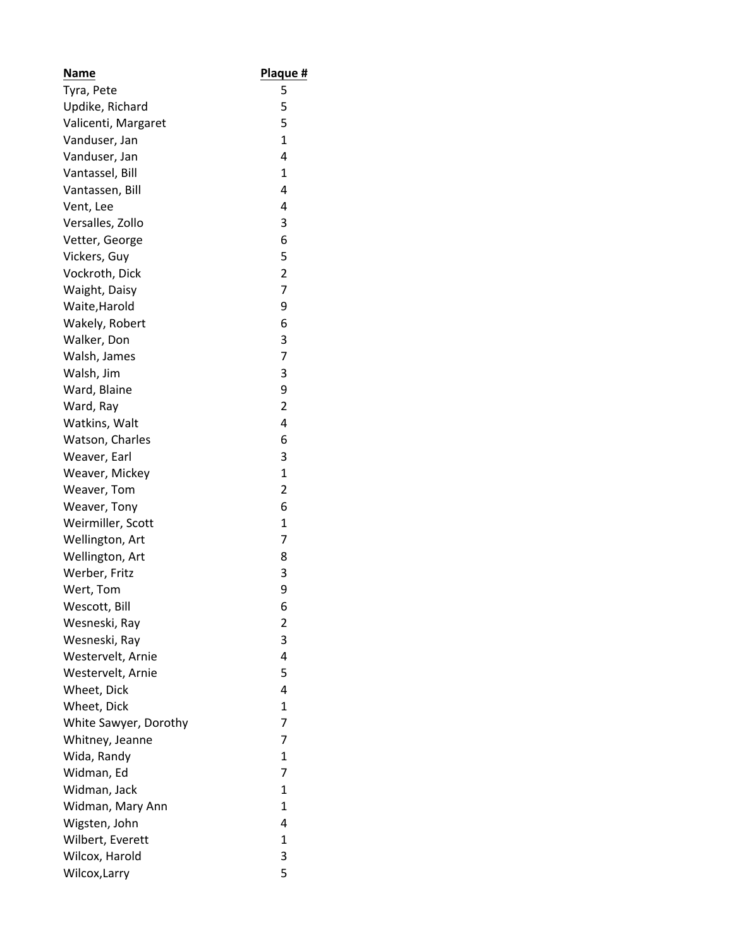| <b>Name</b>           | Plaque #       |
|-----------------------|----------------|
| Tyra, Pete            | 5              |
| Updike, Richard       | 5              |
| Valicenti, Margaret   | 5              |
| Vanduser, Jan         | 1              |
| Vanduser, Jan         | 4              |
| Vantassel, Bill       | 1              |
| Vantassen, Bill       | 4              |
| Vent, Lee             | 4              |
| Versalles, Zollo      | 3              |
| Vetter, George        | 6              |
| Vickers, Guy          | 5              |
| Vockroth, Dick        | 2              |
| Waight, Daisy         | 7              |
| Waite, Harold         | 9              |
| Wakely, Robert        | 6              |
| Walker, Don           | 3              |
| Walsh, James          | 7              |
| Walsh, Jim            | 3              |
| Ward, Blaine          | 9              |
| Ward, Ray             | $\overline{2}$ |
| Watkins, Walt         | 4              |
| Watson, Charles       | 6              |
| Weaver, Earl          | 3              |
| Weaver, Mickey        | $\mathbf{1}$   |
| Weaver, Tom           | 2              |
| Weaver, Tony          | 6              |
| Weirmiller, Scott     | 1              |
| Wellington, Art       | 7              |
| Wellington, Art       | 8              |
| Werber, Fritz         | 3              |
| Wert, Tom             | 9              |
| Wescott, Bill         | 6              |
| Wesneski, Ray         | $\overline{2}$ |
| Wesneski, Ray         | 3              |
| Westervelt, Arnie     | 4              |
| Westervelt, Arnie     | 5              |
| Wheet, Dick           | 4              |
| Wheet, Dick           | 1              |
|                       | 7              |
| White Sawyer, Dorothy |                |
| Whitney, Jeanne       | 7              |
| Wida, Randy           | $\mathbf{1}$   |
| Widman, Ed            | 7              |
| Widman, Jack          | $\mathbf{1}$   |
| Widman, Mary Ann      | 1              |
| Wigsten, John         | 4              |
| Wilbert, Everett      | $\mathbf{1}$   |
| Wilcox, Harold        | 3              |
| Wilcox, Larry         | 5              |